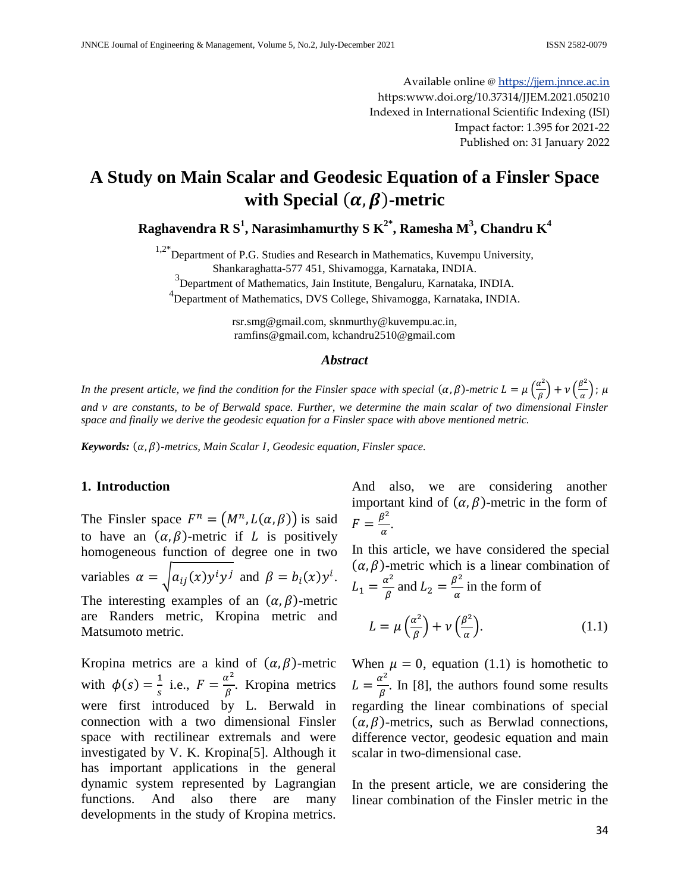Available online @ [https://jjem.jnnce.ac.in](https://jjem.jnnce.ac.in/) https:www.doi.org/10.37314/JJEM.2021.050210 Indexed in International Scientific Indexing (ISI) Impact factor: 1.395 for 2021-22 Published on: 31 January 2022

## **A Study on Main Scalar and Geodesic Equation of a Finsler Space**  with Special  $(\alpha, \beta)$ -metric

**Raghavendra R S<sup>1</sup> , Narasimhamurthy S K2\* , Ramesha M<sup>3</sup> , Chandru K<sup>4</sup>**

 $1.2^*$  Department of P.G. Studies and Research in Mathematics, Kuvempu University, Shankaraghatta-577 451, Shivamogga, Karnataka, INDIA. 3 Department of Mathematics, Jain Institute, Bengaluru, Karnataka, INDIA.

4 Department of Mathematics, DVS College, Shivamogga, Karnataka, INDIA.

[rsr.smg@gmail.com,](mailto:rsr.smg@gmail.com) [sknmurthy@kuvempu.ac.in,](mailto:sknmurthy@kuvempu.ac.in) [ramfins@gmail.com,](mailto:ramfins@gmail.com) kchandru2510@gmail.com

#### *Abstract*

*In the present article, we find the condition for the Finsler space with special*  $(\alpha, \beta)$ -metric  $L = \mu \left( \frac{\alpha^2}{\beta} \right)$  $\left(\frac{\alpha^2}{\beta}\right) + \nu \left(\frac{\beta^2}{\alpha}\right)$  $\frac{1}{\alpha}$ and v are constants, to be of Berwald space. Further, we determine the main scalar of two dimensional Finsler *space and finally we derive the geodesic equation for a Finsler space with above mentioned metric.*

 $Keywords: (\alpha, \beta)$ -metrics, Main Scalar I, Geodesic equation, Finsler space.

#### **1. Introduction**

The Finsler space  $F^n = (M^n, L(\alpha, \beta))$  is said to have an  $(\alpha, \beta)$ -metric if L is positively homogeneous function of degree one in two variables  $\alpha = |a_{ij}(x)y^i y^j|$  and  $\beta = b_i(x)y^i$ . The interesting examples of an  $(\alpha, \beta)$ -metric are Randers metric, Kropina metric and Matsumoto metric.

Kropina metrics are a kind of  $(\alpha, \beta)$ -metric with  $\phi(s) = \frac{1}{s}$  $\frac{1}{s}$  i.e.,  $F = \frac{\alpha^2}{\beta}$  $\frac{\pi}{\beta}$ . Kropina metrics were first introduced by L. Berwald in connection with a two dimensional Finsler space with rectilinear extremals and were investigated by V. K. Kropina[5]. Although it has important applications in the general dynamic system represented by Lagrangian functions. And also there are many developments in the study of Kropina metrics.

And also, we are considering another important kind of  $(\alpha, \beta)$ -metric in the form of  $F = \frac{\beta^2}{g}$  $\frac{1}{\alpha}$ .

In this article, we have considered the special  $(\alpha, \beta)$ -metric which is a linear combination of  $L_1 = \frac{\alpha^2}{\rho}$  $rac{\alpha^2}{\beta}$  and  $L_2 = \frac{\beta^2}{\alpha}$  $\frac{3}{\alpha}$  in the form of

$$
L = \mu \left(\frac{\alpha^2}{\beta}\right) + \nu \left(\frac{\beta^2}{\alpha}\right).
$$
 (1.1)

When  $\mu = 0$ , equation (1.1) is homothetic to  $L=\frac{\alpha^2}{a}$  $\frac{\lambda}{\beta}$ . In [8], the authors found some results regarding the linear combinations of special  $(\alpha, \beta)$ -metrics, such as Berwlad connections, difference vector, geodesic equation and main scalar in two-dimensional case.

In the present article, we are considering the linear combination of the Finsler metric in the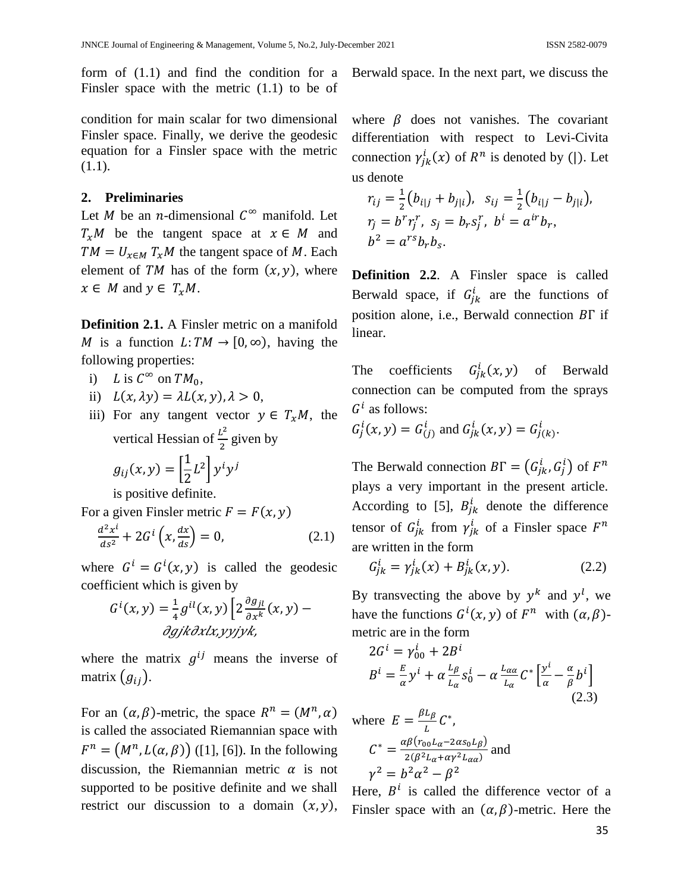form of (1.1) and find the condition for a Finsler space with the metric  $(1.1)$  to be of

condition for main scalar for two dimensional Finsler space. Finally, we derive the geodesic equation for a Finsler space with the metric (1.1).

### **2. Preliminaries**

Let *M* be an *n*-dimensional  $C^{\infty}$  manifold. Let  $T_xM$  be the tangent space at  $x \in M$  and  $TM = U_{x \in M} T_x M$  the tangent space of M. Each element of  $TM$  has of the form  $(x, y)$ , where  $x \in M$  and  $y \in T_xM$ .

**Definition 2.1.** A Finsler metric on a manifold M is a function  $L: TM \rightarrow [0, \infty)$ , having the following properties:

- i) L is  $C^{\infty}$  on  $TM_0$ ,
- ii)  $L(x, \lambda y) = \lambda L(x, y), \lambda > 0,$
- iii) For any tangent vector  $y \in T_xM$ , the vertical Hessian of  $\frac{L^2}{2}$  $\frac{y}{2}$  given by  $\mathbf{1}$

$$
g_{ij}(x, y) = \left[\frac{1}{2}L^2\right]y^i y^j
$$
  
is positive definite.

For a given Finsler metric  $F = F(x, y)$ 

$$
\frac{d^2x^i}{ds^2} + 2G^i\left(x, \frac{dx}{ds}\right) = 0,\t(2.1)
$$

where  $G^i = G^i(x, y)$  is called the geodesic coefficient which is given by

$$
G^{i}(x,y) = \frac{1}{4}g^{il}(x,y)\left[2\frac{\partial g_{jl}}{\partial x^{k}}(x,y) - \frac{\partial g_{jl}}{\partial x^{k}}(x,y)\right]
$$

where the matrix  $g^{ij}$  means the inverse of matrix  $(g_{ii})$ .

For an  $(\alpha, \beta)$ -metric, the space  $R^n = (M^n,$ is called the associated Riemannian space with  $F^n = (M^n, L(\alpha, \beta))$  ([1], [6]). In the following discussion, the Riemannian metric  $\alpha$  is not supported to be positive definite and we shall restrict our discussion to a domain  $(x, y)$ , Berwald space. In the next part, we discuss the

where  $\beta$  does not vanishes. The covariant differentiation with respect to Levi-Civita connection  $\gamma_{ik}^i(x)$  of  $R^n$  is denoted by (|). Let us denote

$$
r_{ij} = \frac{1}{2} (b_{i|j} + b_{j|i}), \quad s_{ij} = \frac{1}{2} (b_{i|j} - b_{j|i}),
$$
  
\n
$$
r_j = b^r r_j^r, \quad s_j = b_r s_j^r, \quad b^i = a^{ir} b_r,
$$
  
\n
$$
b^2 = a^{rs} b_r b_s.
$$

**Definition 2.2**. A Finsler space is called Berwald space, if  $G_{ik}^i$  are the functions of position alone, i.e., Berwald connection  $B\Gamma$  if linear.

The coefficients  $G_{ik}^{i}(x, y)$  of Berwald connection can be computed from the sprays  $G<sup>i</sup>$  as follows:

$$
G_j^i(x, y) = G_{(j)}^i
$$
 and  $G_{jk}^i(x, y) = G_{j(k)}^i$ .

The Berwald connection  $BT = (G_{ik}^i, G_i^i)$  of  $F^n$ plays a very important in the present article. According to [5],  $B_{ik}^{i}$  denote the difference tensor of  $G_{ik}^i$  from  $\gamma_{ik}^i$  of a Finsler space  $F^n$ are written in the form

$$
G_{jk}^{i} = \gamma_{jk}^{i}(x) + B_{jk}^{i}(x, y).
$$
 (2.2)

By transvecting the above by  $y^k$  and  $y^l$ , we have the functions  $G^i(x, y)$  of  $F^n$  with  $(\alpha, \beta)$ metric are in the form

$$
2G^{i} = \gamma_{00}^{i} + 2B^{i}
$$
  
\n
$$
B^{i} = \frac{E}{\alpha} y^{i} + \alpha \frac{L_{\beta}}{L_{\alpha}} S_{0}^{i} - \alpha \frac{L_{\alpha\alpha}}{L_{\alpha}} C^{*} \left[ \frac{y^{i}}{\alpha} - \frac{\alpha}{\beta} b^{i} \right]
$$
  
\n(2.3)

where 
$$
E = \frac{\beta L_{\beta}}{L} C^*
$$
,  
\n
$$
C^* = \frac{\alpha \beta (r_{00}L_{\alpha} - 2\alpha s_0L_{\beta})}{2(\beta^2 L_{\alpha} + \alpha \gamma^2 L_{\alpha \alpha})}
$$
 and  
\n
$$
\gamma^2 = b^2 \alpha^2 - \beta^2
$$

Here,  $B^i$  is called the difference vector of a Finsler space with an  $(\alpha, \beta)$ -metric. Here the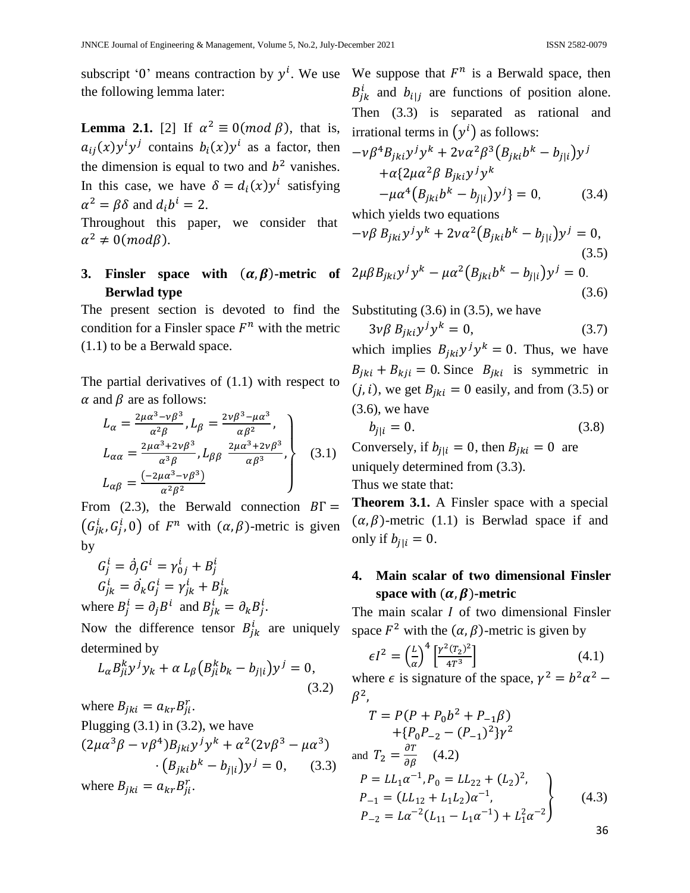subscript '0' means contraction by  $y^i$ . We use We suppose that  $F^n$  is a Berwald space, then the following lemma later:

**Lemma 2.1.** [2] If  $\alpha^2 \equiv 0 \pmod{\beta}$ , that is,  $a_{ij}(x)y^i y^j$  contains  $b_i(x)y^i$  as a factor, then the dimension is equal to two and  $b<sup>2</sup>$  vanishes. In this case, we have  $\delta = d_i(x) y^i$  satisfying  $\alpha^2 = \beta \delta$  and  $d_i b^i = 2$ . Throughout this paper, we consider that

# $\alpha^2 \neq 0 (mod \beta).$

## **3. Finsler** space with  $(\alpha, \beta)$ -metric of **Berwlad type**

The present section is devoted to find the condition for a Finsler space  $F^n$  with the metric (1.1) to be a Berwald space.

The partial derivatives of (1.1) with respect to  $\alpha$  and  $\beta$  are as follows:

$$
L_{\alpha} = \frac{2\mu\alpha^3 - \nu\beta^3}{\alpha^2 \beta}, L_{\beta} = \frac{2\nu\beta^3 - \mu\alpha^3}{\alpha\beta^2},
$$
  
\n
$$
L_{\alpha\alpha} = \frac{2\mu\alpha^3 + 2\nu\beta^3}{\alpha^3 \beta}, L_{\beta\beta} = \frac{2\mu\alpha^3 + 2\nu\beta^3}{\alpha\beta^3},
$$
  
\n
$$
L_{\alpha\beta} = \frac{(-2\mu\alpha^3 - \nu\beta^3)}{\alpha^2 \beta^2}
$$
\n(3.1)

From (2.3), the Berwald connection  $BT =$  $(G_{ik}^i, G_i^i, 0)$  of  $F^n$  with  $(\alpha, \beta)$ -metric is given by

$$
G_j^i = \partial_j G^i = \gamma_{0j}^i + B_j^i
$$
  
\n
$$
G_{jk}^i = \partial_k G_j^i = \gamma_{jk}^i + B_{jk}^i
$$
  
\nwhere  $B_j^i = \partial_j B^i$  and  $B_{jk}^i = \partial_k B_j^i$ .

Now the difference tensor  $B_{jk}^i$  are uniquely space  $F^2$  with the  $(\alpha, \beta)$ -metric is given by determined by

$$
L_{\alpha}B_{ji}^k y^j y_k + \alpha L_{\beta} (B_{ji}^k b_k - b_{j|i}) y^j = 0,
$$
\n(3.2)

where 
$$
B_{jki} = a_{kr}B_{ji}^r
$$
.  
\nPlugging (3.1) in (3.2), we have  
\n
$$
(2\mu\alpha^3\beta - \nu\beta^4)B_{jki}y^jy^k + \alpha^2(2\nu\beta^3 - \mu\alpha^3)
$$
\n
$$
\cdot (B_{jki}b^k - b_{j|i})y^j = 0,
$$
\n(3.3)  
\nwhere  $B_{jki} = a_{kr}B_{ji}^r$ .

 $B_{ik}^i$  and  $b_{i,j}$  are functions of position alone. Then (3.3) is separated as rational and irrational terms in  $(y^i)$  as follows:

$$
-v\beta^{4}B_{jki}y^{j}y^{k} + 2v\alpha^{2}\beta^{3}(B_{jki}b^{k} - b_{j|i})y^{j}
$$

$$
+ \alpha\{2\mu\alpha^{2}\beta B_{jki}y^{j}y^{k}
$$

$$
- \mu\alpha^{4}(B_{jki}b^{k} - b_{j|i})y^{j}\} = 0,
$$
(3.4)

which yields two equations  $-\nu\beta B_{iki}y^{j}y^{k} + 2\nu\alpha^{2}(B_{iki}b^{k} - b_{i|i})y^{j} = 0,$ 

$$
\begin{array}{cc}\n\text{Cyl}(t) & \text{Cyl}(t) & \text{Cyl}(t) \\
\text{Cyl}(t) & \text{Cyl}(t) & \text{Cyl}(t)\n\end{array}\n\tag{3.5}
$$

$$
2\mu\beta B_{jki}y^jy^k - \mu\alpha^2 \Big(B_{jki}b^k - b_{j|i}\Big)y^j = 0.
$$
\n(3.6)

Substituting  $(3.6)$  in  $(3.5)$ , we have

 $3\nu\beta$ 

$$
B_{jki}y^jy^k = 0,\t\t(3.7)
$$

which implies  $B_{ikl}y^jy^k = 0$ . Thus, we have  $B_{iki} + B_{kji} = 0$ . Since  $B_{iki}$  is symmetric in  $(j, i)$ , we get  $B_{jki} = 0$  easily, and from (3.5) or (3.6), we have

$$
b_{j|i} = 0.\t\t(3.8)
$$

Conversely, if  $b_{i|i} = 0$ , then  $B_{iki} = 0$  are uniquely determined from (3.3). Thus we state that:

**Theorem 3.1.** A Finsler space with a special  $(\alpha, \beta)$ -metric (1.1) is Berwlad space if and only if  $b_{i|i} = 0$ .

## **4. Main scalar of two dimensional Finsler** space with  $(\alpha, \beta)$ -metric

The main scalar  $I$  of two dimensional Finsler

$$
\epsilon I^2 = \left(\frac{L}{\alpha}\right)^4 \left[\frac{\gamma^2 (T_2)^2}{4T^3}\right]
$$
(4.1)

where  $\epsilon$  is signature of the space,  $\gamma^2 = b^2 \alpha^2$  $\beta^2$ ,

$$
T = P(P + P_0 b^2 + P_{-1} \beta)
$$
  
+  $\{P_0 P_{-2} - (P_{-1})^2\} \gamma^2$   
and  $T_2 = \frac{\partial T}{\partial \beta}$  (4.2)  
 $P = LL_1 \alpha^{-1}, P_0 = LL_{22} + (L_2)^2,$   
 $P_{-1} = (LL_{12} + L_1 L_2) \alpha^{-1},$   
 $P_{-2} = L \alpha^{-2} (L_{11} - L_1 \alpha^{-1}) + L_1^2 \alpha^{-2}$ 

36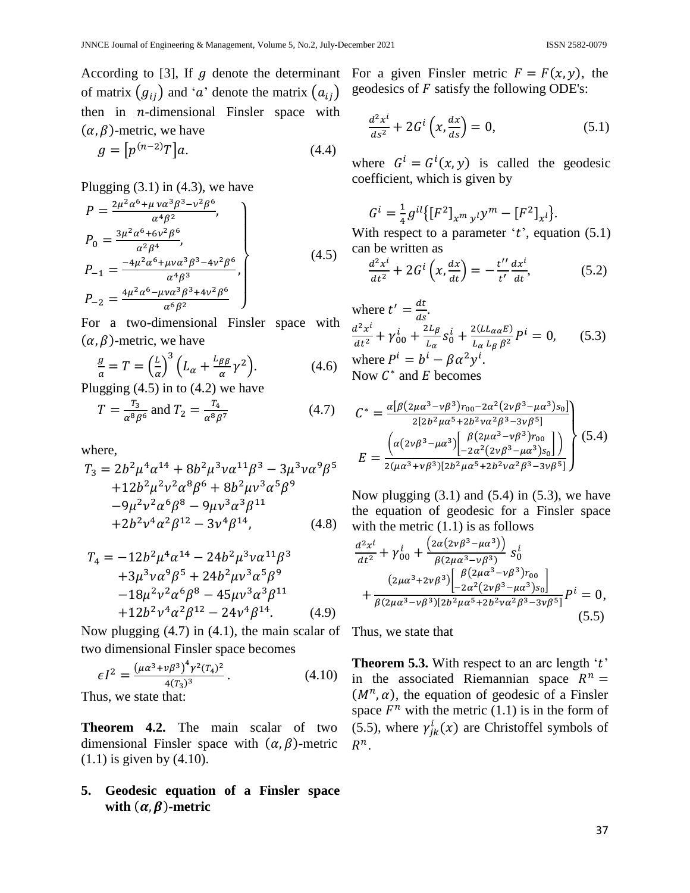of matrix  $(g_{ii})$  and 'a' denote the matrix  $(a_{ii})$ then in  $n$ -dimensional Finsler space with  $(\alpha, \beta)$ -metric, we have

$$
g = \left[ p^{(n-2)} T \right] a. \tag{4.4}
$$

Plugging  $(3.1)$  in  $(4.3)$ , we have

$$
P = \frac{2\mu^2 \alpha^6 + \mu v \alpha^3 \beta^3 - v^2 \beta^6}{\alpha^4 \beta^2},
$$
  
\n
$$
P_0 = \frac{3\mu^2 \alpha^6 + 6v^2 \beta^6}{\alpha^2 \beta^4},
$$
  
\n
$$
P_{-1} = \frac{-4\mu^2 \alpha^6 + \mu v \alpha^3 \beta^3 - 4v^2 \beta^6}{\alpha^4 \beta^3},
$$
  
\n
$$
P_{-2} = \frac{4\mu^2 \alpha^6 - \mu v \alpha^3 \beta^3 + 4v^2 \beta^6}{\alpha^6 \beta^2}
$$
\n(4.5)

For a two-dimensional Finsler space with  $(\alpha, \beta)$ -metric, we have

$$
\frac{g}{a} = T = \left(\frac{L}{a}\right)^3 \left(L_{\alpha} + \frac{L_{\beta\beta}}{a}\gamma^2\right).
$$
 (4.6)

Plugging  $(4.5)$  in to  $(4.2)$  we have

$$
T = \frac{T_3}{\alpha^8 \beta^6} \text{ and } T_2 = \frac{T_4}{\alpha^8 \beta^7} \tag{4.7}
$$

where,

$$
T_3 = 2b^2 \mu^4 \alpha^{14} + 8b^2 \mu^3 \nu \alpha^{11} \beta^3 - 3\mu^3 \nu \alpha^9 \beta^5
$$
  
+12b<sup>2</sup> \mu<sup>2</sup> \nu<sup>2</sup> \alpha<sup>8</sup> \beta<sup>6</sup> + 8b<sup>2</sup> \mu \nu<sup>3</sup> \alpha<sup>5</sup> \beta<sup>9</sup>  
-9\mu<sup>2</sup> \nu<sup>2</sup> \alpha<sup>6</sup> \beta<sup>8</sup> - 9\mu \nu<sup>3</sup> \alpha<sup>3</sup> \beta<sup>11</sup>  
+2b<sup>2</sup> \nu<sup>4</sup> \alpha<sup>2</sup> \beta<sup>12</sup> - 3\nu<sup>4</sup> \beta<sup>14</sup>, \t(4.8)

$$
T_4 = -12b^2 \mu^4 \alpha^{14} - 24b^2 \mu^3 \nu \alpha^{11} \beta^3 + 3\mu^3 \nu \alpha^9 \beta^5 + 24b^2 \mu \nu^3 \alpha^5 \beta^9 - 18\mu^2 \nu^2 \alpha^6 \beta^8 - 45\mu \nu^3 \alpha^3 \beta^{11} + 12b^2 \nu^4 \alpha^2 \beta^{12} - 24\nu^4 \beta^{14}.
$$
 (4.9)

Now plugging (4.7) in (4.1), the main scalar of Thus, we state that two dimensional Finsler space becomes

$$
\epsilon I^2 = \frac{(\mu \alpha^3 + \nu \beta^3)^4 \gamma^2 (T_4)^2}{4(T_3)^3}.
$$
 (4.10)

Thus, we state that:

**Theorem 4.2.** The main scalar of two dimensional Finsler space with  $(\alpha, \beta)$ -metric (1.1) is given by (4.10).

## **5. Geodesic equation of a Finsler space**  with  $(\alpha, \beta)$ -metric

According to [3], If g denote the determinant For a given Finsler metric  $F = F(x, y)$ , the geodesics of  $F$  satisfy the following ODE's:

$$
\frac{d^2x^i}{ds^2} + 2G^i\left(x, \frac{dx}{ds}\right) = 0,\t(5.1)
$$

where  $G^i = G^i(x, y)$  is called the geodesic coefficient, which is given by

$$
G^{i} = \frac{1}{4} g^{i l} \{ [F^{2}]_{x^{m} y^{l}} y^{m} - [F^{2}]_{x^{l}} \}.
$$

With respect to a parameter  $'t'$ , equation (5.1) can be written as

$$
\frac{d^2x^i}{dt^2} + 2G^i\left(x, \frac{dx}{dt}\right) = -\frac{t^{\prime\prime}}{t^{\prime}}\frac{dx^i}{dt},\tag{5.2}
$$

where 
$$
t' = \frac{dt}{ds}
$$
.  
\n
$$
\frac{d^2x^i}{dt^2} + \gamma_{00}^i + \frac{2L_\beta}{L_\alpha} s_0^i + \frac{2(LL_{\alpha\alpha}E)}{L_\alpha L_\beta} P^i = 0,
$$
\nwhere  $P^i = b^i - \beta \alpha^2 y^i$ .  
\nNow  $C^*$  and  $E$  becomes

$$
C^* = \frac{\alpha [\beta (2\mu \alpha^3 - \nu \beta^3) r_{00} - 2\alpha^2 (2\nu \beta^3 - \mu \alpha^3) s_0]}{2[2b^2 \mu \alpha^5 + 2b^2 \nu \alpha^2 \beta^3 - 3\nu \beta^5]}
$$
  

$$
E = \frac{\left(\alpha (2\nu \beta^3 - \mu \alpha^3) \begin{bmatrix} \beta (2\mu \alpha^3 - \nu \beta^3) r_{00} \\ -2\alpha^2 (2\nu \beta^3 - \mu \alpha^3) s_0 \end{bmatrix}\right)}{2(\mu \alpha^3 + \nu \beta^3)[2b^2 \mu \alpha^5 + 2b^2 \nu \alpha^2 \beta^3 - 3\nu \beta^5]}
$$
(5.4)

Now plugging  $(3.1)$  and  $(5.4)$  in  $(5.3)$ , we have the equation of geodesic for a Finsler space with the metric  $(1.1)$  is as follows

$$
\frac{d^2x^i}{dt^2} + \gamma_{00}^i + \frac{(2\alpha(2\nu\beta^3 - \mu\alpha^3))}{\beta(2\mu\alpha^3 - \nu\beta^3)} S_0^i
$$
  
+ 
$$
\frac{(2\mu\alpha^3 + 2\nu\beta^3) \left[\frac{\beta(2\mu\alpha^3 - \nu\beta^3)r_{00}}{-2\alpha^2(2\nu\beta^3 - \mu\alpha^3)s_0}\right]}{\beta(2\mu\alpha^3 - \nu\beta^3)[2b^2\mu\alpha^5 + 2b^2\nu\alpha^2\beta^3 - 3\nu\beta^5]} P^i = 0,
$$
(5.5)

**Theorem 5.3.** With respect to an arc length  $t'$ in the associated Riemannian space  $R^n$  $(M^n, \alpha)$ , the equation of geodesic of a Finsler space  $F^n$  with the metric (1.1) is in the form of (5.5), where  $\gamma_{ik}^i(x)$  are Christoffel symbols of  $R^n$ .